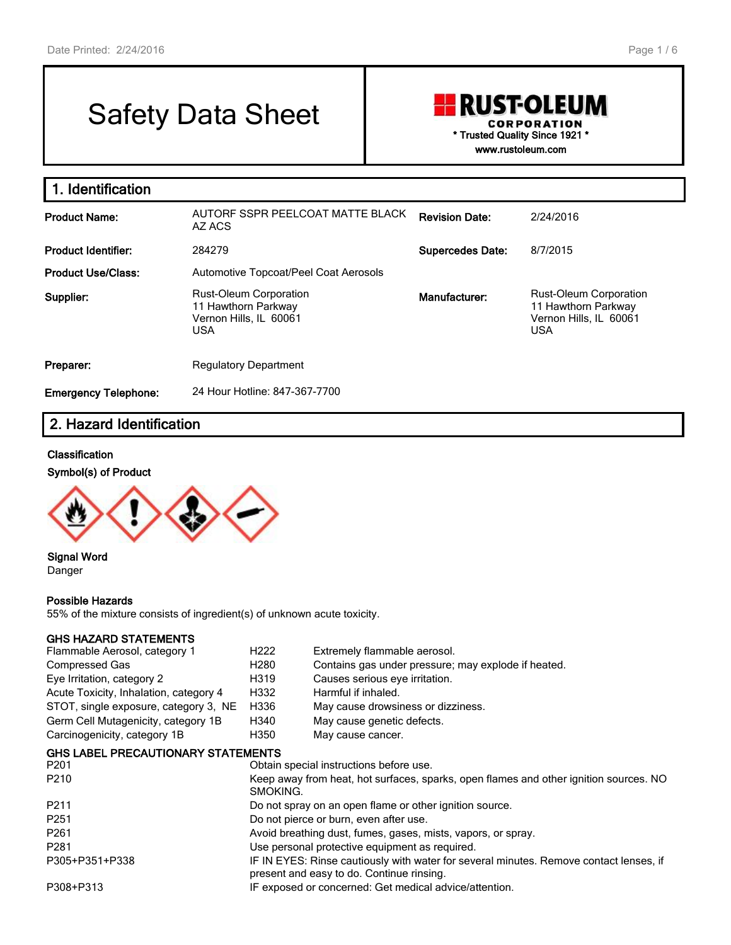# Safety Data Sheet

## **RUST-OLEUM CORPORATION \* Trusted Quality Since 1921 \* www.rustoleum.com**

**1. Identification Product Name:** AUTORF SSPR PEELCOAT MATTE BLACK AZ ACS **Revision Date:** 2/24/2016 **Product Identifier:** 284279 **Supercedes Date:** 8/7/2015 **Product Use/Class:** Automotive Topcoat/Peel Coat Aerosols **Supplier:** Rust-Oleum Corporation 11 Hawthorn Parkway Vernon Hills, IL 60061 USA **Manufacturer:** Rust-Oleum Corporation 11 Hawthorn Parkway Vernon Hills, IL 60061 USA **Preparer:** Regulatory Department **Emergency Telephone:** 24 Hour Hotline: 847-367-7700

# **2. Hazard Identification**

#### **Classification**

#### **Symbol(s) of Product**



#### **Signal Word** Danger

#### **Possible Hazards**

55% of the mixture consists of ingredient(s) of unknown acute toxicity.

#### **GHS HAZARD STATEMENTS**

| Flammable Aerosol, category 1             | H <sub>222</sub>                                                                                                                    | Extremely flammable aerosol.                                                          |  |  |  |
|-------------------------------------------|-------------------------------------------------------------------------------------------------------------------------------------|---------------------------------------------------------------------------------------|--|--|--|
| <b>Compressed Gas</b>                     | H <sub>2</sub> 80                                                                                                                   | Contains gas under pressure; may explode if heated.                                   |  |  |  |
| Eye Irritation, category 2                | H319                                                                                                                                | Causes serious eye irritation.                                                        |  |  |  |
| Acute Toxicity, Inhalation, category 4    | H332                                                                                                                                | Harmful if inhaled.                                                                   |  |  |  |
| STOT, single exposure, category 3, NE     | H336                                                                                                                                | May cause drowsiness or dizziness.                                                    |  |  |  |
| Germ Cell Mutagenicity, category 1B       | H340                                                                                                                                | May cause genetic defects.                                                            |  |  |  |
| Carcinogenicity, category 1B              | H350                                                                                                                                | May cause cancer.                                                                     |  |  |  |
| <b>GHS LABEL PRECAUTIONARY STATEMENTS</b> |                                                                                                                                     |                                                                                       |  |  |  |
| P <sub>201</sub>                          |                                                                                                                                     | Obtain special instructions before use.                                               |  |  |  |
| P <sub>210</sub>                          | SMOKING.                                                                                                                            | Keep away from heat, hot surfaces, sparks, open flames and other ignition sources. NO |  |  |  |
| P <sub>211</sub>                          |                                                                                                                                     | Do not spray on an open flame or other ignition source.                               |  |  |  |
| P <sub>251</sub>                          |                                                                                                                                     | Do not pierce or burn, even after use.                                                |  |  |  |
| P <sub>261</sub>                          |                                                                                                                                     | Avoid breathing dust, fumes, gases, mists, vapors, or spray.                          |  |  |  |
| P <sub>281</sub>                          |                                                                                                                                     | Use personal protective equipment as required.                                        |  |  |  |
| P305+P351+P338                            | IF IN EYES: Rinse cautiously with water for several minutes. Remove contact lenses, if<br>present and easy to do. Continue rinsing. |                                                                                       |  |  |  |
| P308+P313                                 |                                                                                                                                     | IF exposed or concerned: Get medical advice/attention.                                |  |  |  |
|                                           |                                                                                                                                     |                                                                                       |  |  |  |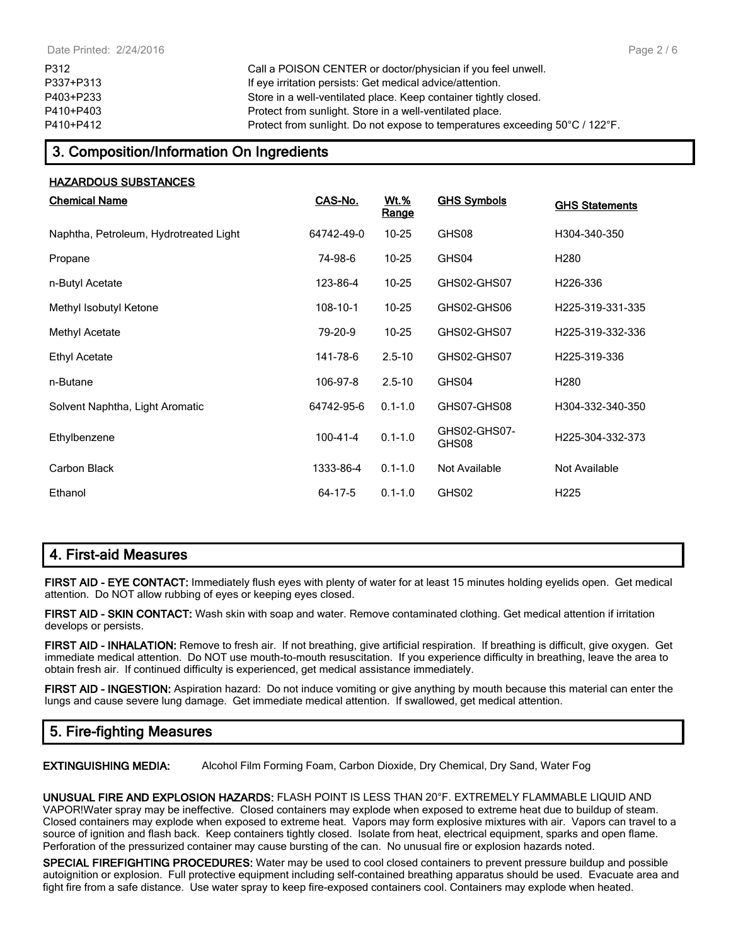P312 Call a POISON CENTER or doctor/physician if you feel unwell. P337+P313 If eye irritation persists: Get medical advice/attention. P403+P233 Store in a well-ventilated place. Keep container tightly closed. P410+P403 Protect from sunlight. Store in a well-ventilated place. P410+P412 Protect from sunlight. Do not expose to temperatures exceeding 50°C / 122°F.

## **3. Composition/Information On Ingredients**

| <b>HAZARDOUS SUBSTANCES</b>            |                |                             |                       |                       |
|----------------------------------------|----------------|-----------------------------|-----------------------|-----------------------|
| <b>Chemical Name</b>                   | CAS-No.        | <u>Wt.%</u><br><b>Range</b> | <b>GHS Symbols</b>    | <b>GHS Statements</b> |
| Naphtha, Petroleum, Hydrotreated Light | 64742-49-0     | $10 - 25$                   | GHS08                 | H304-340-350          |
| Propane                                | 74-98-6        | $10 - 25$                   | GHS04                 | H <sub>280</sub>      |
| n-Butyl Acetate                        | 123-86-4       | $10 - 25$                   | GHS02-GHS07           | H <sub>226</sub> -336 |
| Methyl Isobutyl Ketone                 | 108-10-1       | $10 - 25$                   | GHS02-GHS06           | H225-319-331-335      |
| Methyl Acetate                         | 79-20-9        | $10 - 25$                   | GHS02-GHS07           | H225-319-332-336      |
| <b>Ethyl Acetate</b>                   | 141-78-6       | $2.5 - 10$                  | GHS02-GHS07           | H225-319-336          |
| n-Butane                               | 106-97-8       | $2.5 - 10$                  | GHS04                 | H <sub>280</sub>      |
| Solvent Naphtha, Light Aromatic        | 64742-95-6     | $0.1 - 1.0$                 | GHS07-GHS08           | H304-332-340-350      |
| Ethylbenzene                           | $100 - 41 - 4$ | $0.1 - 1.0$                 | GHS02-GHS07-<br>GHS08 | H225-304-332-373      |
| Carbon Black                           | 1333-86-4      | $0.1 - 1.0$                 | Not Available         | Not Available         |
| Ethanol                                | 64-17-5        | $0.1 - 1.0$                 | GHS02                 | H <sub>225</sub>      |

# **4. First-aid Measures**

**FIRST AID - EYE CONTACT:** Immediately flush eyes with plenty of water for at least 15 minutes holding eyelids open. Get medical attention. Do NOT allow rubbing of eyes or keeping eyes closed.

**FIRST AID - SKIN CONTACT:** Wash skin with soap and water. Remove contaminated clothing. Get medical attention if irritation develops or persists.

**FIRST AID - INHALATION:** Remove to fresh air. If not breathing, give artificial respiration. If breathing is difficult, give oxygen. Get immediate medical attention. Do NOT use mouth-to-mouth resuscitation. If you experience difficulty in breathing, leave the area to obtain fresh air. If continued difficulty is experienced, get medical assistance immediately.

**FIRST AID - INGESTION:** Aspiration hazard: Do not induce vomiting or give anything by mouth because this material can enter the lungs and cause severe lung damage. Get immediate medical attention. If swallowed, get medical attention.

# **5. Fire-fighting Measures**

**EXTINGUISHING MEDIA:** Alcohol Film Forming Foam, Carbon Dioxide, Dry Chemical, Dry Sand, Water Fog

**UNUSUAL FIRE AND EXPLOSION HAZARDS:** FLASH POINT IS LESS THAN 20°F. EXTREMELY FLAMMABLE LIQUID AND VAPOR!Water spray may be ineffective. Closed containers may explode when exposed to extreme heat due to buildup of steam. Closed containers may explode when exposed to extreme heat. Vapors may form explosive mixtures with air. Vapors can travel to a source of ignition and flash back. Keep containers tightly closed. Isolate from heat, electrical equipment, sparks and open flame. Perforation of the pressurized container may cause bursting of the can. No unusual fire or explosion hazards noted.

**SPECIAL FIREFIGHTING PROCEDURES:** Water may be used to cool closed containers to prevent pressure buildup and possible autoignition or explosion. Full protective equipment including self-contained breathing apparatus should be used. Evacuate area and fight fire from a safe distance. Use water spray to keep fire-exposed containers cool. Containers may explode when heated.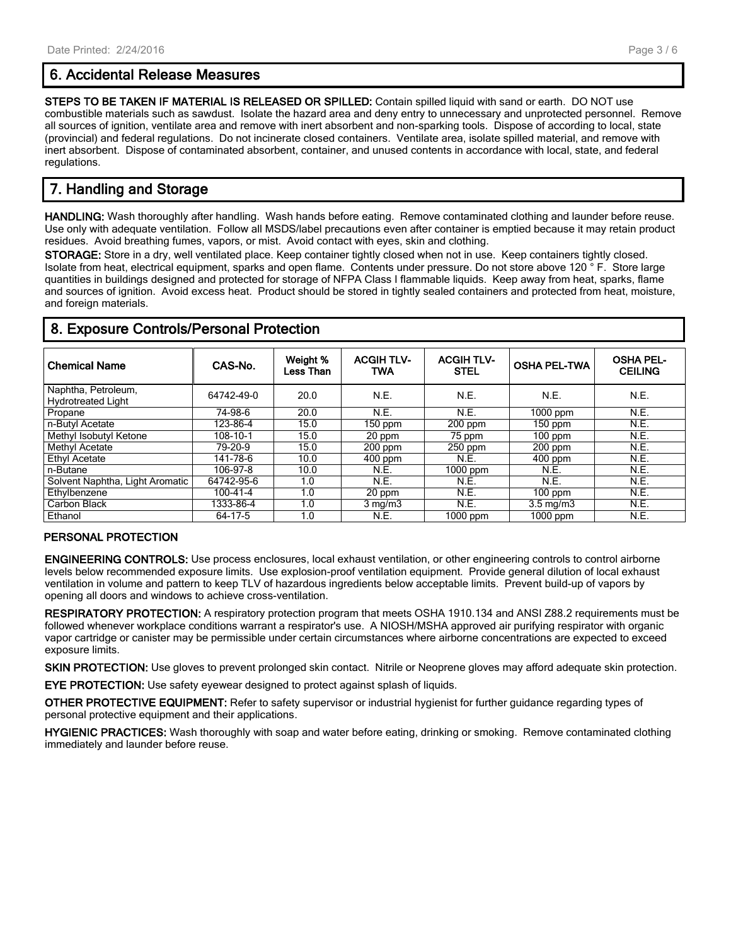## **6. Accidental Release Measures**

**STEPS TO BE TAKEN IF MATERIAL IS RELEASED OR SPILLED:** Contain spilled liquid with sand or earth. DO NOT use combustible materials such as sawdust. Isolate the hazard area and deny entry to unnecessary and unprotected personnel. Remove all sources of ignition, ventilate area and remove with inert absorbent and non-sparking tools. Dispose of according to local, state (provincial) and federal regulations. Do not incinerate closed containers. Ventilate area, isolate spilled material, and remove with inert absorbent. Dispose of contaminated absorbent, container, and unused contents in accordance with local, state, and federal regulations.

# **7. Handling and Storage**

**HANDLING:** Wash thoroughly after handling. Wash hands before eating. Remove contaminated clothing and launder before reuse. Use only with adequate ventilation. Follow all MSDS/label precautions even after container is emptied because it may retain product residues. Avoid breathing fumes, vapors, or mist. Avoid contact with eyes, skin and clothing.

**STORAGE:** Store in a dry, well ventilated place. Keep container tightly closed when not in use. Keep containers tightly closed. Isolate from heat, electrical equipment, sparks and open flame. Contents under pressure. Do not store above 120 ° F. Store large quantities in buildings designed and protected for storage of NFPA Class I flammable liquids. Keep away from heat, sparks, flame and sources of ignition. Avoid excess heat. Product should be stored in tightly sealed containers and protected from heat, moisture, and foreign materials.

| <b>Chemical Name</b>                             | CAS-No.        | Weight %<br>Less Than | <b>ACGIH TLV-</b><br><b>TWA</b> | <b>ACGIH TLV-</b><br><b>STEL</b> | <b>OSHA PEL-TWA</b> | <b>OSHA PEL-</b><br><b>CEILING</b> |  |
|--------------------------------------------------|----------------|-----------------------|---------------------------------|----------------------------------|---------------------|------------------------------------|--|
| Naphtha, Petroleum,<br><b>Hydrotreated Light</b> | 64742-49-0     | 20.0                  | N.E.                            | N.E.                             | N.E.                | N.E.                               |  |
| Propane                                          | 74-98-6        | 20.0                  | N.E.                            | N.E.                             | 1000 ppm            | N.E.                               |  |
| n-Butyl Acetate                                  | 123-86-4       | 15.0                  | 150 ppm                         | $200$ ppm                        | 150 ppm             | N.E.                               |  |
| Methyl Isobutyl Ketone                           | 108-10-1       | 15.0                  | 20 ppm                          | 75 ppm                           | 100 ppm             | N.E.                               |  |
| Methyl Acetate                                   | 79-20-9        | 15.0                  | $200$ ppm                       | $250$ ppm                        | $200$ ppm           | N.E.                               |  |
| <b>Ethyl Acetate</b>                             | 141-78-6       | 10.0                  | $400$ ppm                       | N.E.                             | $400$ ppm           | N.E.                               |  |
| n-Butane                                         | 106-97-8       | 10.0                  | N.E.                            | $1000$ ppm                       | N.E.                | N.E.                               |  |
| Solvent Naphtha, Light Aromatic                  | 64742-95-6     | 1.0                   | N.E.                            | N.E.                             | N.E.                | N.E.                               |  |
| Ethylbenzene                                     | $100 - 41 - 4$ | 1.0                   | 20 ppm                          | N.E.                             | $100$ ppm           | N.E.                               |  |
| Carbon Black                                     | 1333-86-4      | 1.0                   | $3 \text{ mg/m}$                | N.E.                             | $3.5 \text{ mg/m}$  | N.E.                               |  |
| Ethanol                                          | 64-17-5        | 1.0                   | N.E.                            | $1000$ ppm                       | 1000 ppm            | N.E.                               |  |

## **8. Exposure Controls/Personal Protection**

#### **PERSONAL PROTECTION**

**ENGINEERING CONTROLS:** Use process enclosures, local exhaust ventilation, or other engineering controls to control airborne levels below recommended exposure limits. Use explosion-proof ventilation equipment. Provide general dilution of local exhaust ventilation in volume and pattern to keep TLV of hazardous ingredients below acceptable limits. Prevent build-up of vapors by opening all doors and windows to achieve cross-ventilation.

**RESPIRATORY PROTECTION:** A respiratory protection program that meets OSHA 1910.134 and ANSI Z88.2 requirements must be followed whenever workplace conditions warrant a respirator's use. A NIOSH/MSHA approved air purifying respirator with organic vapor cartridge or canister may be permissible under certain circumstances where airborne concentrations are expected to exceed exposure limits.

**SKIN PROTECTION:** Use gloves to prevent prolonged skin contact. Nitrile or Neoprene gloves may afford adequate skin protection.

**EYE PROTECTION:** Use safety eyewear designed to protect against splash of liquids.

**OTHER PROTECTIVE EQUIPMENT:** Refer to safety supervisor or industrial hygienist for further guidance regarding types of personal protective equipment and their applications.

**HYGIENIC PRACTICES:** Wash thoroughly with soap and water before eating, drinking or smoking. Remove contaminated clothing immediately and launder before reuse.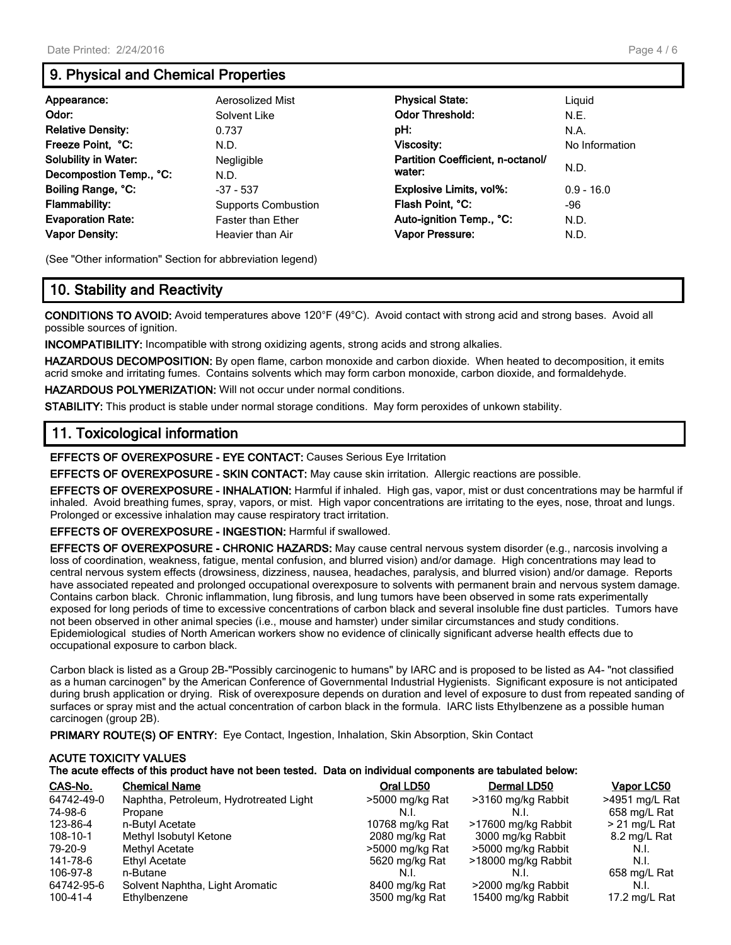# **9. Physical and Chemical Properties**

| Appearance:<br>Odor:<br><b>Relative Density:</b><br>Freeze Point, °C:<br><b>Solubility in Water:</b><br>Decompostion Temp., °C: | Aerosolized Mist<br>Solvent Like<br>0.737<br>N.D.<br>Negligible<br>N.D. | <b>Physical State:</b><br><b>Odor Threshold:</b><br>pH:<br><b>Viscosity:</b><br>Partition Coefficient, n-octanol/<br>water: | Liguid<br>N.E.<br>N.A.<br>No Information<br>N.D. |
|---------------------------------------------------------------------------------------------------------------------------------|-------------------------------------------------------------------------|-----------------------------------------------------------------------------------------------------------------------------|--------------------------------------------------|
| Boiling Range, °C:                                                                                                              | $-37 - 537$                                                             | <b>Explosive Limits, vol%:</b>                                                                                              | $0.9 - 16.0$                                     |
| <b>Flammability:</b>                                                                                                            | <b>Supports Combustion</b>                                              | Flash Point, °C:                                                                                                            | -96                                              |
| <b>Evaporation Rate:</b>                                                                                                        | <b>Faster than Ether</b>                                                | Auto-ignition Temp., °C:                                                                                                    | N.D.                                             |
| <b>Vapor Density:</b>                                                                                                           | Heavier than Air                                                        | <b>Vapor Pressure:</b>                                                                                                      | N.D.                                             |

(See "Other information" Section for abbreviation legend)

# **10. Stability and Reactivity**

**CONDITIONS TO AVOID:** Avoid temperatures above 120°F (49°C). Avoid contact with strong acid and strong bases. Avoid all possible sources of ignition.

**INCOMPATIBILITY:** Incompatible with strong oxidizing agents, strong acids and strong alkalies.

**HAZARDOUS DECOMPOSITION:** By open flame, carbon monoxide and carbon dioxide. When heated to decomposition, it emits acrid smoke and irritating fumes. Contains solvents which may form carbon monoxide, carbon dioxide, and formaldehyde.

**HAZARDOUS POLYMERIZATION:** Will not occur under normal conditions.

**STABILITY:** This product is stable under normal storage conditions. May form peroxides of unkown stability.

## **11. Toxicological information**

**EFFECTS OF OVEREXPOSURE - EYE CONTACT:** Causes Serious Eye Irritation

**EFFECTS OF OVEREXPOSURE - SKIN CONTACT:** May cause skin irritation. Allergic reactions are possible.

**EFFECTS OF OVEREXPOSURE - INHALATION:** Harmful if inhaled. High gas, vapor, mist or dust concentrations may be harmful if inhaled. Avoid breathing fumes, spray, vapors, or mist. High vapor concentrations are irritating to the eyes, nose, throat and lungs. Prolonged or excessive inhalation may cause respiratory tract irritation.

**EFFECTS OF OVEREXPOSURE - INGESTION:** Harmful if swallowed.

**EFFECTS OF OVEREXPOSURE - CHRONIC HAZARDS:** May cause central nervous system disorder (e.g., narcosis involving a loss of coordination, weakness, fatigue, mental confusion, and blurred vision) and/or damage. High concentrations may lead to central nervous system effects (drowsiness, dizziness, nausea, headaches, paralysis, and blurred vision) and/or damage. Reports have associated repeated and prolonged occupational overexposure to solvents with permanent brain and nervous system damage. Contains carbon black. Chronic inflammation, lung fibrosis, and lung tumors have been observed in some rats experimentally exposed for long periods of time to excessive concentrations of carbon black and several insoluble fine dust particles. Tumors have not been observed in other animal species (i.e., mouse and hamster) under similar circumstances and study conditions. Epidemiological studies of North American workers show no evidence of clinically significant adverse health effects due to occupational exposure to carbon black.

Carbon black is listed as a Group 2B-"Possibly carcinogenic to humans" by IARC and is proposed to be listed as A4- "not classified as a human carcinogen" by the American Conference of Governmental Industrial Hygienists. Significant exposure is not anticipated during brush application or drying. Risk of overexposure depends on duration and level of exposure to dust from repeated sanding of surfaces or spray mist and the actual concentration of carbon black in the formula. IARC lists Ethylbenzene as a possible human carcinogen (group 2B).

**PRIMARY ROUTE(S) OF ENTRY:** Eye Contact, Ingestion, Inhalation, Skin Absorption, Skin Contact

## **ACUTE TOXICITY VALUES The acute effects of this product have not been tested. Data on individual components are tabulated below:**

| CAS-No.    | <b>Chemical Name</b>                   | Oral LD50       | Dermal LD50         | Vapor LC50      |
|------------|----------------------------------------|-----------------|---------------------|-----------------|
| 64742-49-0 | Naphtha, Petroleum, Hydrotreated Light | >5000 mg/kg Rat | >3160 mg/kg Rabbit  | >4951 mg/L Rat  |
| 74-98-6    | Propane                                | N.I             | N.I.                | 658 mg/L Rat    |
| 123-86-4   | n-Butyl Acetate                        | 10768 mg/kg Rat | >17600 mg/kg Rabbit | $>$ 21 mg/L Rat |
| 108-10-1   | Methyl Isobutyl Ketone                 | 2080 mg/kg Rat  | 3000 mg/kg Rabbit   | 8.2 mg/L Rat    |
| 79-20-9    | Methyl Acetate                         | >5000 mg/kg Rat | >5000 mg/kg Rabbit  | N.I.            |
| 141-78-6   | Ethyl Acetate                          | 5620 mg/kg Rat  | >18000 mg/kg Rabbit | N.I.            |
| 106-97-8   | n-Butane                               | N.I.            | N.I.                | 658 mg/L Rat    |
| 64742-95-6 | Solvent Naphtha, Light Aromatic        | 8400 mg/kg Rat  | >2000 mg/kg Rabbit  | N.I.            |
| 100-41-4   | Ethylbenzene                           | 3500 mg/kg Rat  | 15400 mg/kg Rabbit  | 17.2 mg/L Rat   |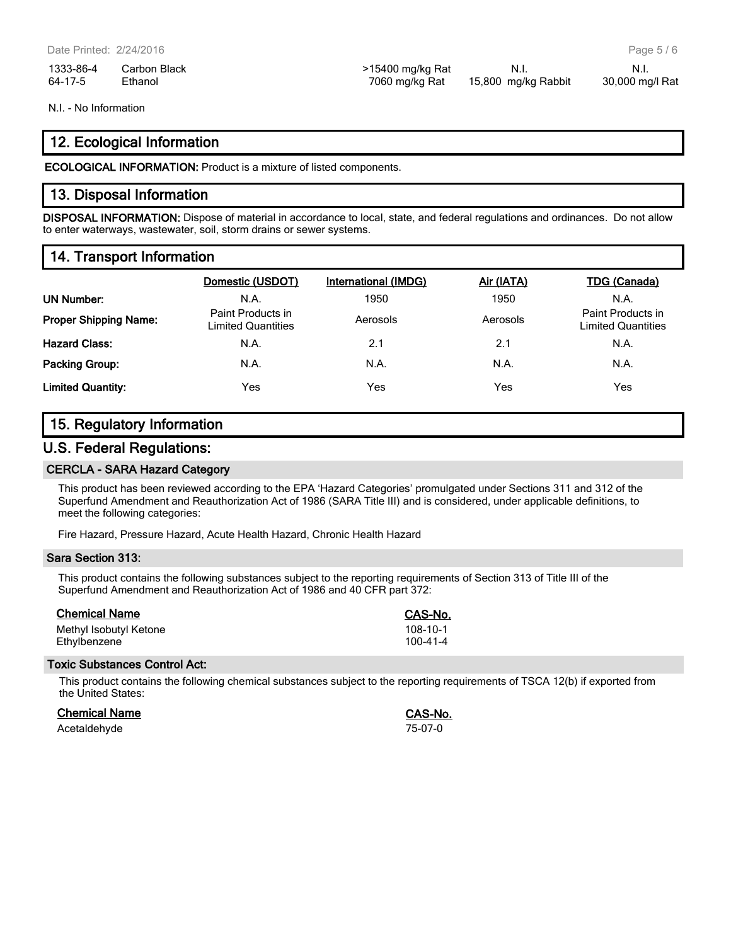| 1333-86-4 | Carbon Black | >15400 mg/kg Rat | - N.i.              | - N.i.          |
|-----------|--------------|------------------|---------------------|-----------------|
| 64-17-5   | Ethanol      | 7060 mg/kg Rat   | 15,800 mg/kg Rabbit | 30,000 mg/l Rat |

N.I. - No Information

## **12. Ecological Information**

**ECOLOGICAL INFORMATION:** Product is a mixture of listed components.

## **13. Disposal Information**

**DISPOSAL INFORMATION:** Dispose of material in accordance to local, state, and federal regulations and ordinances. Do not allow to enter waterways, wastewater, soil, storm drains or sewer systems.

# **14. Transport Information**

|                              | Domestic (USDOT)                        | International (IMDG) | Air (IATA) | TDG (Canada)                                   |
|------------------------------|-----------------------------------------|----------------------|------------|------------------------------------------------|
| <b>UN Number:</b>            | N.A.                                    | 1950                 | 1950       | N.A.                                           |
| <b>Proper Shipping Name:</b> | Paint Products in<br>Limited Quantities | Aerosols             | Aerosols   | Paint Products in<br><b>Limited Quantities</b> |
| <b>Hazard Class:</b>         | N.A.                                    | 2.1                  | 2.1        | N.A.                                           |
| <b>Packing Group:</b>        | N.A.                                    | N.A.                 | N.A.       | N.A.                                           |
| <b>Limited Quantity:</b>     | Yes                                     | Yes                  | Yes        | Yes                                            |

## **15. Regulatory Information**

## **U.S. Federal Regulations:**

#### **CERCLA - SARA Hazard Category**

This product has been reviewed according to the EPA 'Hazard Categories' promulgated under Sections 311 and 312 of the Superfund Amendment and Reauthorization Act of 1986 (SARA Title III) and is considered, under applicable definitions, to meet the following categories:

Fire Hazard, Pressure Hazard, Acute Health Hazard, Chronic Health Hazard

#### **Sara Section 313:**

This product contains the following substances subject to the reporting requirements of Section 313 of Title III of the Superfund Amendment and Reauthorization Act of 1986 and 40 CFR part 372:

| <b>Chemical Name</b>   | CAS-No.  |
|------------------------|----------|
| Methyl Isobutyl Ketone | 108-10-1 |
| Ethylbenzene           | 100-41-4 |

#### **Toxic Substances Control Act:**

This product contains the following chemical substances subject to the reporting requirements of TSCA 12(b) if exported from the United States:

**Chemical Name CAS-No.**

| <b>Chemical Name</b> | <b>CAS-N</b> |
|----------------------|--------------|
| Acetaldehyde         | 75-07-0      |